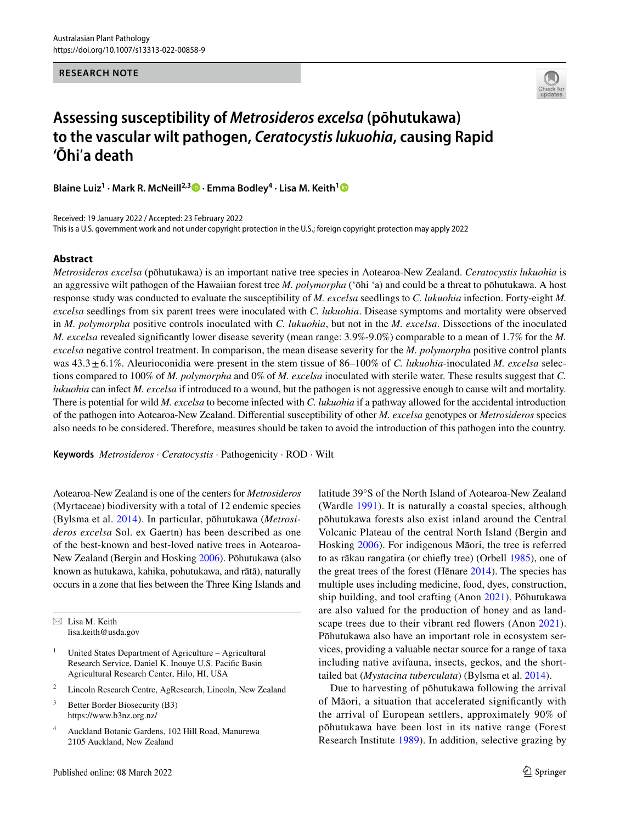**RESEARCH NOTE**



## **Assessing susceptibility of** *Metrosideros excelsa* **(pōhutukawa) to the vascular wilt pathogen,** *Ceratocystis lukuohia***, causing Rapid 'Ōhi**ʻ**a death**

**Blaine Luiz1 · Mark R. McNeill2,3 · Emma Bodley4 · Lisa M. Keith[1](http://orcid.org/0000-0001-9974-1818)**

Received: 19 January 2022 / Accepted: 23 February 2022 This is a U.S. government work and not under copyright protection in the U.S.; foreign copyright protection may apply 2022

## **Abstract**

*Metrosideros excelsa* (pōhutukawa) is an important native tree species in Aotearoa-New Zealand. *Ceratocystis lukuohia* is an aggressive wilt pathogen of the Hawaiian forest tree *M. polymorpha* ('ōhi 'a) and could be a threat to pōhutukawa. A host response study was conducted to evaluate the susceptibility of *M. excelsa* seedlings to *C. lukuohia* infection. Forty-eight *M. excelsa* seedlings from six parent trees were inoculated with *C. lukuohia*. Disease symptoms and mortality were observed in *M. polymorpha* positive controls inoculated with *C. lukuohia*, but not in the *M. excelsa*. Dissections of the inoculated *M. excelsa* revealed signifcantly lower disease severity (mean range: 3.9%-9.0%) comparable to a mean of 1.7% for the *M. excelsa* negative control treatment. In comparison, the mean disease severity for the *M. polymorpha* positive control plants was 43.3±6.1%. Aleurioconidia were present in the stem tissue of 86–100% of *C. lukuohia*-inoculated *M. excelsa* selections compared to 100% of *M. polymorpha* and 0% of *M. excelsa* inoculated with sterile water. These results suggest that *C. lukuohia* can infect *M. excelsa* if introduced to a wound, but the pathogen is not aggressive enough to cause wilt and mortality. There is potential for wild *M. excelsa* to become infected with *C. lukuohia* if a pathway allowed for the accidental introduction of the pathogen into Aotearoa-New Zealand. Diferential susceptibility of other *M. excelsa* genotypes or *Metrosideros* species also needs to be considered. Therefore, measures should be taken to avoid the introduction of this pathogen into the country.

**Keywords** *Metrosideros* · *Ceratocystis* · Pathogenicity · ROD · Wilt

Aotearoa-New Zealand is one of the centers for *Metrosideros* (Myrtaceae) biodiversity with a total of 12 endemic species (Bylsma et al. [2014](#page-3-0)). In particular, pōhutukawa (*Metrosideros excelsa* Sol. ex Gaertn) has been described as one of the best-known and best-loved native trees in Aotearoa-New Zealand (Bergin and Hosking [2006](#page-3-1)). Pōhutukawa (also known as hutukawa, kahika, pohutukawa, and rātā), naturally occurs in a zone that lies between the Three King Islands and

 $\boxtimes$  Lisa M. Keith lisa.keith@usda.gov

- United States Department of Agriculture Agricultural Research Service, Daniel K. Inouye U.S. Pacifc Basin Agricultural Research Center, Hilo, HI, USA
- <sup>2</sup> Lincoln Research Centre, AgResearch, Lincoln, New Zealand
- <sup>3</sup> Better Border Biosecurity (B3) https://www.b3nz.org.nz/
- <sup>4</sup> Auckland Botanic Gardens, 102 Hill Road, Manurewa 2105 Auckland, New Zealand

latitude 39°S of the North Island of Aotearoa-New Zealand (Wardle [1991](#page-4-0)). It is naturally a coastal species, although pōhutukawa forests also exist inland around the Central Volcanic Plateau of the central North Island (Bergin and Hosking [2006](#page-3-1)). For indigenous Māori, the tree is referred to as rākau rangatira (or chiefy tree) (Orbell [1985\)](#page-4-1), one of the great trees of the forest (Hēnare [2014](#page-4-2)). The species has multiple uses including medicine, food, dyes, construction, ship building, and tool crafting (Anon [2021\)](#page-3-2). Pōhutukawa are also valued for the production of honey and as land-scape trees due to their vibrant red flowers (Anon [2021](#page-3-2)). Pōhutukawa also have an important role in ecosystem services, providing a valuable nectar source for a range of taxa including native avifauna, insects, geckos, and the shorttailed bat (*Mystacina tuberculata*) (Bylsma et al. [2014\)](#page-3-0).

Due to harvesting of pōhutukawa following the arrival of Māori, a situation that accelerated signifcantly with the arrival of European settlers, approximately 90% of pōhutukawa have been lost in its native range (Forest Research Institute [1989\)](#page-3-3). In addition, selective grazing by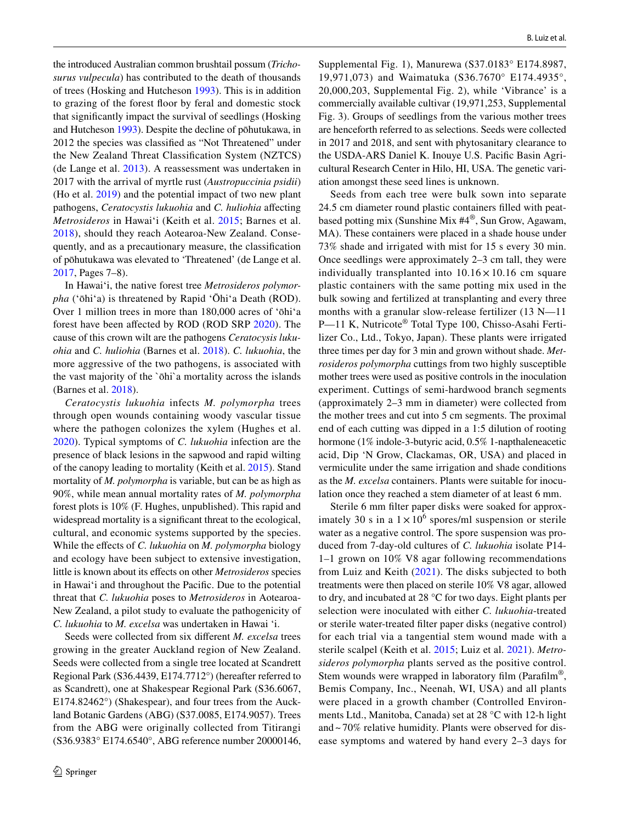the introduced Australian common brushtail possum (*Trichosurus vulpecula*) has contributed to the death of thousands of trees (Hosking and Hutcheson [1993](#page-4-3)). This is in addition to grazing of the forest foor by feral and domestic stock that signifcantly impact the survival of seedlings (Hosking and Hutcheson [1993](#page-4-3)). Despite the decline of pōhutukawa, in 2012 the species was classifed as "Not Threatened" under the New Zealand Threat Classifcation System (NZTCS) (de Lange et al. [2013\)](#page-3-4). A reassessment was undertaken in 2017 with the arrival of myrtle rust (*Austropuccinia psidii*) (Ho et al. [2019\)](#page-4-4) and the potential impact of two new plant pathogens, *Ceratocystis lukuohia* and *C. huliohia* afecting *Metrosideros* in Hawaiʻi (Keith et al. [2015](#page-4-5); Barnes et al. [2018\)](#page-3-5), should they reach Aotearoa-New Zealand. Consequently, and as a precautionary measure, the classifcation of pōhutukawa was elevated to 'Threatened' (de Lange et al. [2017](#page-3-6), Pages 7–8).

In Hawaiʻi, the native forest tree *Metrosideros polymorpha* (ʻōhiʻa) is threatened by Rapid ʻŌhiʻa Death (ROD). Over 1 million trees in more than 180,000 acres of ʻōhiʻa forest have been afected by ROD (ROD SRP [2020](#page-4-6)). The cause of this crown wilt are the pathogens *Ceratocysis lukuohia* and *C. huliohia* (Barnes et al. [2018](#page-3-5)). *C. lukuohia*, the more aggressive of the two pathogens, is associated with the vast majority of the `ōhi`a mortality across the islands (Barnes et al. [2018](#page-3-5)).

*Ceratocystis lukuohia* infects *M. polymorpha* trees through open wounds containing woody vascular tissue where the pathogen colonizes the xylem (Hughes et al. [2020\)](#page-4-7). Typical symptoms of *C. lukuohia* infection are the presence of black lesions in the sapwood and rapid wilting of the canopy leading to mortality (Keith et al. [2015](#page-4-5)). Stand mortality of *M. polymorpha* is variable, but can be as high as 90%, while mean annual mortality rates of *M. polymorpha* forest plots is 10% (F. Hughes, unpublished). This rapid and widespread mortality is a signifcant threat to the ecological, cultural, and economic systems supported by the species. While the efects of *C. lukuohia* on *M. polymorpha* biology and ecology have been subject to extensive investigation, little is known about its efects on other *Metrosideros* species in Hawaiʻi and throughout the Pacifc. Due to the potential threat that *C. lukuohia* poses to *Metrosideros* in Aotearoa-New Zealand, a pilot study to evaluate the pathogenicity of *C. lukuohia* to *M. excelsa* was undertaken in Hawai 'i.

Seeds were collected from six diferent *M. excelsa* trees growing in the greater Auckland region of New Zealand. Seeds were collected from a single tree located at Scandrett Regional Park (S36.4439, E174.7712°) (hereafter referred to as Scandrett), one at Shakespear Regional Park (S36.6067, E174.82462°) (Shakespear), and four trees from the Auckland Botanic Gardens (ABG) (S37.0085, E174.9057). Trees from the ABG were originally collected from Titirangi (S36.9383° E174.6540°, ABG reference number 20000146,

Supplemental Fig. 1), Manurewa (S37.0183° E174.8987, 19,971,073) and Waimatuka (S36.7670° E174.4935°, 20,000,203, Supplemental Fig. 2), while 'Vibrance' is a commercially available cultivar (19,971,253, Supplemental Fig. 3). Groups of seedlings from the various mother trees are henceforth referred to as selections. Seeds were collected in 2017 and 2018, and sent with phytosanitary clearance to the USDA-ARS Daniel K. Inouye U.S. Pacifc Basin Agricultural Research Center in Hilo, HI, USA. The genetic variation amongst these seed lines is unknown.

Seeds from each tree were bulk sown into separate 24.5 cm diameter round plastic containers flled with peatbased potting mix (Sunshine Mix #4®, Sun Grow, Agawam, MA). These containers were placed in a shade house under 73% shade and irrigated with mist for 15 s every 30 min. Once seedlings were approximately 2–3 cm tall, they were individually transplanted into  $10.16 \times 10.16$  cm square plastic containers with the same potting mix used in the bulk sowing and fertilized at transplanting and every three months with a granular slow-release fertilizer (13 N—11 P—11 K, Nutricote® Total Type 100, Chisso-Asahi Fertilizer Co., Ltd., Tokyo, Japan). These plants were irrigated three times per day for 3 min and grown without shade. *Metrosideros polymorpha* cuttings from two highly susceptible mother trees were used as positive controls in the inoculation experiment. Cuttings of semi-hardwood branch segments (approximately 2–3 mm in diameter) were collected from the mother trees and cut into 5 cm segments. The proximal end of each cutting was dipped in a 1:5 dilution of rooting hormone (1% indole-3-butyric acid, 0.5% 1-napthaleneacetic acid, Dip 'N Grow, Clackamas, OR, USA) and placed in vermiculite under the same irrigation and shade conditions as the *M. excelsa* containers. Plants were suitable for inoculation once they reached a stem diameter of at least 6 mm.

Sterile 6 mm flter paper disks were soaked for approximately 30 s in a  $1 \times 10^6$  spores/ml suspension or sterile water as a negative control. The spore suspension was produced from 7-day-old cultures of *C. lukuohia* isolate P14- 1–1 grown on 10% V8 agar following recommendations from Luiz and Keith ([2021\)](#page-4-8). The disks subjected to both treatments were then placed on sterile 10% V8 agar, allowed to dry, and incubated at 28 °C for two days. Eight plants per selection were inoculated with either *C. lukuohia*-treated or sterile water-treated flter paper disks (negative control) for each trial via a tangential stem wound made with a sterile scalpel (Keith et al. [2015](#page-4-5); Luiz et al. [2021\)](#page-4-9). *Metrosideros polymorpha* plants served as the positive control. Stem wounds were wrapped in laboratory film (Parafilm<sup>®</sup>, Bemis Company, Inc., Neenah, WI, USA) and all plants were placed in a growth chamber (Controlled Environments Ltd., Manitoba, Canada) set at 28 °C with 12-h light and ~ 70% relative humidity. Plants were observed for disease symptoms and watered by hand every 2–3 days for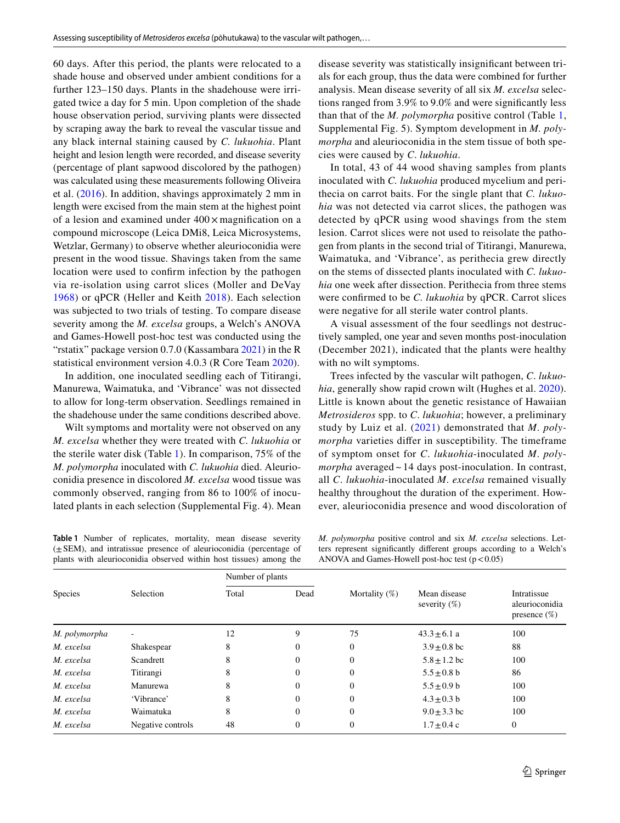60 days. After this period, the plants were relocated to a shade house and observed under ambient conditions for a further 123–150 days. Plants in the shadehouse were irrigated twice a day for 5 min. Upon completion of the shade house observation period, surviving plants were dissected by scraping away the bark to reveal the vascular tissue and any black internal staining caused by *C. lukuohia*. Plant height and lesion length were recorded, and disease severity (percentage of plant sapwood discolored by the pathogen) was calculated using these measurements following Oliveira et al. ([2016](#page-4-10)). In addition, shavings approximately 2 mm in length were excised from the main stem at the highest point of a lesion and examined under 400× magnifcation on a compound microscope (Leica DMi8, Leica Microsystems, Wetzlar, Germany) to observe whether aleurioconidia were present in the wood tissue. Shavings taken from the same location were used to confrm infection by the pathogen via re-isolation using carrot slices (Moller and DeVay [1968\)](#page-4-11) or qPCR (Heller and Keith [2018](#page-4-12)). Each selection was subjected to two trials of testing. To compare disease severity among the *M. excelsa* groups, a Welch's ANOVA and Games-Howell post-hoc test was conducted using the "rstatix" package version  $0.7.0$  (Kassambara  $2021$ ) in the R statistical environment version 4.0.3 (R Core Team [2020](#page-4-14)).

In addition, one inoculated seedling each of Titirangi, Manurewa, Waimatuka, and 'Vibrance' was not dissected to allow for long-term observation. Seedlings remained in the shadehouse under the same conditions described above.

Wilt symptoms and mortality were not observed on any *M. excelsa* whether they were treated with *C. lukuohia* or the sterile water disk (Table [1\)](#page-2-0). In comparison, 75% of the *M. polymorpha* inoculated with *C. lukuohia* died. Aleurioconidia presence in discolored *M. excelsa* wood tissue was commonly observed, ranging from 86 to 100% of inoculated plants in each selection (Supplemental Fig. 4). Mean disease severity was statistically insignifcant between trials for each group, thus the data were combined for further analysis. Mean disease severity of all six *M. excelsa* selections ranged from 3.9% to 9.0% and were signifcantly less than that of the *M. polymorpha* positive control (Table [1,](#page-2-0) Supplemental Fig. 5). Symptom development in *M. polymorpha* and aleurioconidia in the stem tissue of both species were caused by *C*. *lukuohia*.

In total, 43 of 44 wood shaving samples from plants inoculated with *C. lukuohia* produced mycelium and perithecia on carrot baits. For the single plant that *C. lukuohia* was not detected via carrot slices, the pathogen was detected by qPCR using wood shavings from the stem lesion. Carrot slices were not used to reisolate the pathogen from plants in the second trial of Titirangi, Manurewa, Waimatuka, and 'Vibrance', as perithecia grew directly on the stems of dissected plants inoculated with *C. lukuohia* one week after dissection. Perithecia from three stems were confrmed to be *C. lukuohia* by qPCR. Carrot slices were negative for all sterile water control plants.

A visual assessment of the four seedlings not destructively sampled, one year and seven months post-inoculation (December 2021), indicated that the plants were healthy with no wilt symptoms.

Trees infected by the vascular wilt pathogen, *C*. *lukuohia*, generally show rapid crown wilt (Hughes et al. [2020](#page-4-7)). Little is known about the genetic resistance of Hawaiian *Metrosideros* spp. to *C*. *lukuohia*; however, a preliminary study by Luiz et al. [\(2021\)](#page-4-9) demonstrated that *M*. *polymorpha* varieties difer in susceptibility. The timeframe of symptom onset for *C*. *lukuohia*-inoculated *M*. *polymorpha* averaged ~ 14 days post-inoculation. In contrast, all *C*. *lukuohia*-inoculated *M*. *excelsa* remained visually healthy throughout the duration of the experiment. However, aleurioconidia presence and wood discoloration of

<span id="page-2-0"></span>**Table 1** Number of replicates, mortality, mean disease severity (±SEM), and intratissue presence of aleurioconidia (percentage of plants with aleurioconidia observed within host tissues) among the

*M. polymorpha* positive control and six *M. excelsa* selections. Letters represent signifcantly diferent groups according to a Welch's ANOVA and Games-Howell post-hoc test  $(p < 0.05)$ 

| <b>Species</b> | Selection         | Number of plants |              |                  |                                 |                                                  |
|----------------|-------------------|------------------|--------------|------------------|---------------------------------|--------------------------------------------------|
|                |                   | Total            | Dead         | Mortality $(\%)$ | Mean disease<br>severity $(\%)$ | Intratissue<br>aleurioconidia<br>presence $(\%)$ |
| M. polymorpha  |                   | 12               | 9            | 75               | $43.3 \pm 6.1$ a                | 100                                              |
| M. excelsa     | Shakespear        | 8                | $\theta$     | $\mathbf{0}$     | $3.9 \pm 0.8$ bc                | 88                                               |
| M. excelsa     | Scandrett         | 8                | $\Omega$     | $\overline{0}$   | $5.8 + 1.2$ bc                  | 100                                              |
| M. excelsa     | Titirangi         | 8                | $\mathbf{0}$ | $\theta$         | $5.5 \pm 0.8$ b                 | 86                                               |
| M. excelsa     | Manurewa          | 8                | $\mathbf{0}$ | $\mathbf{0}$     | $5.5 \pm 0.9$ b                 | 100                                              |
| M. excelsa     | 'Vibrance'        | 8                | $\mathbf{0}$ | $\mathbf{0}$     | $4.3 \pm 0.3$ b                 | 100                                              |
| M. excelsa     | Waimatuka         | 8                | $\mathbf{0}$ | $\mathbf{0}$     | $9.0 \pm 3.3$ bc                | 100                                              |
| M. excelsa     | Negative controls | 48               | $\mathbf{0}$ | $\boldsymbol{0}$ | $1.7 \pm 0.4$ c                 | $\mathbf{0}$                                     |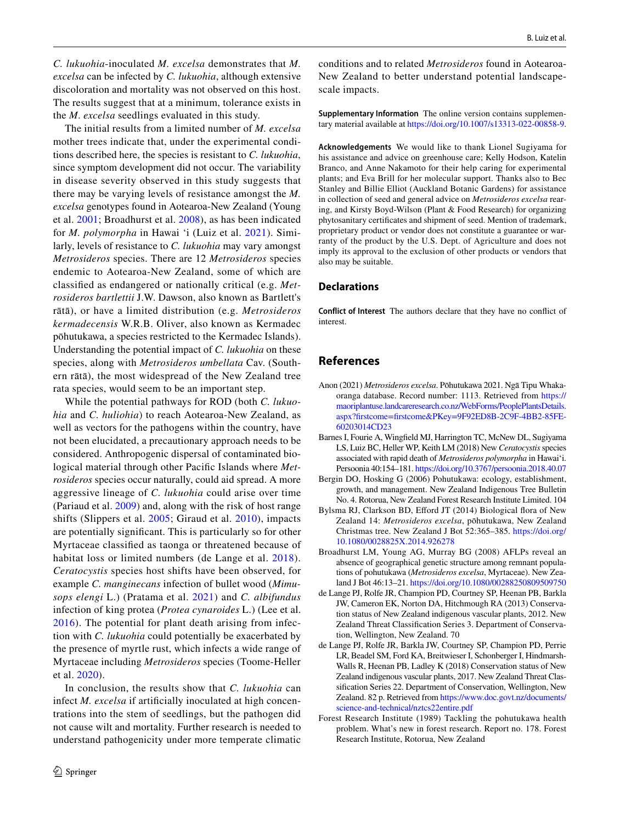*C. lukuohia*-inoculated *M. excelsa* demonstrates that *M. excelsa* can be infected by *C. lukuohia*, although extensive discoloration and mortality was not observed on this host. The results suggest that at a minimum, tolerance exists in the *M*. *excelsa* seedlings evaluated in this study.

The initial results from a limited number of *M. excelsa* mother trees indicate that, under the experimental conditions described here, the species is resistant to *C. lukuohia*, since symptom development did not occur. The variability in disease severity observed in this study suggests that there may be varying levels of resistance amongst the *M. excelsa* genotypes found in Aotearoa-New Zealand (Young et al. [2001;](#page-4-15) Broadhurst et al. [2008](#page-3-7)), as has been indicated for *M. polymorpha* in Hawai 'i (Luiz et al. [2021](#page-4-9)). Similarly, levels of resistance to *C. lukuohia* may vary amongst *Metrosideros* species. There are 12 *Metrosideros* species endemic to Aotearoa-New Zealand, some of which are classifed as endangered or nationally critical (e.g. *Metrosideros bartlettii* J.W. Dawson, also known as Bartlett's rātā), or have a limited distribution (e.g. *Metrosideros kermadecensis* W.R.B. Oliver, also known as Kermadec pōhutukawa, a species restricted to the Kermadec Islands). Understanding the potential impact of *C. lukuohia* on these species, along with *Metrosideros umbellata* Cav. (Southern rātā), the most widespread of the New Zealand tree rata species, would seem to be an important step.

While the potential pathways for ROD (both *C. lukuohia* and *C. huliohia*) to reach Aotearoa-New Zealand, as well as vectors for the pathogens within the country, have not been elucidated, a precautionary approach needs to be considered. Anthropogenic dispersal of contaminated biological material through other Pacifc Islands where *Metrosideros* species occur naturally, could aid spread. A more aggressive lineage of *C. lukuohia* could arise over time (Pariaud et al. [2009](#page-4-16)) and, along with the risk of host range shifts (Slippers et al. [2005;](#page-4-17) Giraud et al. [2010](#page-4-18)), impacts are potentially signifcant. This is particularly so for other Myrtaceae classifed as taonga or threatened because of habitat loss or limited numbers (de Lange et al. [2018\)](#page-3-6). *Ceratocystis* species host shifts have been observed, for example *C. manginecans* infection of bullet wood (*Mimusops elengi* L.) (Pratama et al. [2021\)](#page-4-19) and *C. albifundus* infection of king protea (*Protea cynaroides* L.) (Lee et al. [2016](#page-4-20)). The potential for plant death arising from infection with *C. lukuohia* could potentially be exacerbated by the presence of myrtle rust, which infects a wide range of Myrtaceae including *Metrosideros* species (Toome-Heller et al. [2020\)](#page-4-21).

In conclusion, the results show that *C. lukuohia* can infect *M. excelsa* if artifcially inoculated at high concentrations into the stem of seedlings, but the pathogen did not cause wilt and mortality. Further research is needed to understand pathogenicity under more temperate climatic conditions and to related *Metrosideros* found in Aotearoa-New Zealand to better understand potential landscapescale impacts.

**Supplementary Information** The online version contains supplementary material available at<https://doi.org/10.1007/s13313-022-00858-9>.

**Acknowledgements** We would like to thank Lionel Sugiyama for his assistance and advice on greenhouse care; Kelly Hodson, Katelin Branco, and Anne Nakamoto for their help caring for experimental plants; and Eva Brill for her molecular support. Thanks also to Bec Stanley and Billie Elliot (Auckland Botanic Gardens) for assistance in collection of seed and general advice on *Metrosideros excelsa* rearing, and Kirsty Boyd-Wilson (Plant & Food Research) for organizing phytosanitary certifcates and shipment of seed. Mention of trademark, proprietary product or vendor does not constitute a guarantee or warranty of the product by the U.S. Dept. of Agriculture and does not imply its approval to the exclusion of other products or vendors that also may be suitable.

## **Declarations**

**Conflict of Interest** The authors declare that they have no confict of interest.

## **References**

- <span id="page-3-2"></span>Anon (2021) *Metrosideros excelsa*. Pōhutukawa 2021. Ngā Tipu Whakaoranga database. Record number: 1113. Retrieved from [https://](https://maoriplantuse.landcareresearch.co.nz/WebForms/PeoplePlantsDetails.aspx?firstcome=firstcome&PKey=9F92ED8B-2C9F-4BB2-85FE-60203014CD23) [maoriplantuse.landcareresearch.co.nz/WebForms/PeoplePlantsDetails.](https://maoriplantuse.landcareresearch.co.nz/WebForms/PeoplePlantsDetails.aspx?firstcome=firstcome&PKey=9F92ED8B-2C9F-4BB2-85FE-60203014CD23) [aspx?frstcome=frstcome&PKey=9F92ED8B-2C9F-4BB2-85FE-](https://maoriplantuse.landcareresearch.co.nz/WebForms/PeoplePlantsDetails.aspx?firstcome=firstcome&PKey=9F92ED8B-2C9F-4BB2-85FE-60203014CD23)[60203014CD23](https://maoriplantuse.landcareresearch.co.nz/WebForms/PeoplePlantsDetails.aspx?firstcome=firstcome&PKey=9F92ED8B-2C9F-4BB2-85FE-60203014CD23)
- <span id="page-3-5"></span>Barnes I, Fourie A, Wingfeld MJ, Harrington TC, McNew DL, Sugiyama LS, Luiz BC, Heller WP, Keith LM (2018) New *Ceratocystis* species associated with rapid death of *Metrosideros polymorpha* in Hawaiʻi. Persoonia 40:154–181. https://doi.org/10.3767/persoonia.2018.40.07
- <span id="page-3-1"></span>Bergin DO, Hosking G (2006) Pohutukawa: ecology, establishment, growth, and management. New Zealand Indigenous Tree Bulletin No. 4. Rotorua, New Zealand Forest Research Institute Limited. 104
- <span id="page-3-0"></span>Bylsma RJ, Clarkson BD, Efford JT (2014) Biological flora of New Zealand 14: *Metrosideros excelsa*, pōhutukawa, New Zealand Christmas tree. New Zealand J Bot 52:365–385. [https://doi.org/](https://doi.org/10.1080/0028825X.2014.926278) [10.1080/0028825X.2014.926278](https://doi.org/10.1080/0028825X.2014.926278)
- <span id="page-3-7"></span>Broadhurst LM, Young AG, Murray BG (2008) AFLPs reveal an absence of geographical genetic structure among remnant populations of pohutukawa (*Metrosideros excelsa*, Myrtaceae). New Zealand J Bot 46:13–21.<https://doi.org/10.1080/00288250809509750>
- <span id="page-3-4"></span>de Lange PJ, Rolfe JR, Champion PD, Courtney SP, Heenan PB, Barkla JW, Cameron EK, Norton DA, Hitchmough RA (2013) Conservation status of New Zealand indigenous vascular plants, 2012. New Zealand Threat Classifcation Series 3. Department of Conservation, Wellington, New Zealand. 70
- <span id="page-3-6"></span>de Lange PJ, Rolfe JR, Barkla JW, Courtney SP, Champion PD, Perrie LR, Beadel SM, Ford KA, Breitwieser I, Schonberger I, Hindmarsh-Walls R, Heenan PB, Ladley K (2018) Conservation status of New Zealand indigenous vascular plants, 2017. New Zealand Threat Classifcation Series 22. Department of Conservation, Wellington, New Zealand. 82 p. Retrieved from [https://www.doc.govt.nz/documents/](https://www.doc.govt.nz/documents/science-and-technical/nztcs22entire.pdf) [science-and-technical/nztcs22entire.pdf](https://www.doc.govt.nz/documents/science-and-technical/nztcs22entire.pdf)
- <span id="page-3-3"></span>Forest Research Institute (1989) Tackling the pohutukawa health problem. What's new in forest research. Report no. 178. Forest Research Institute, Rotorua, New Zealand